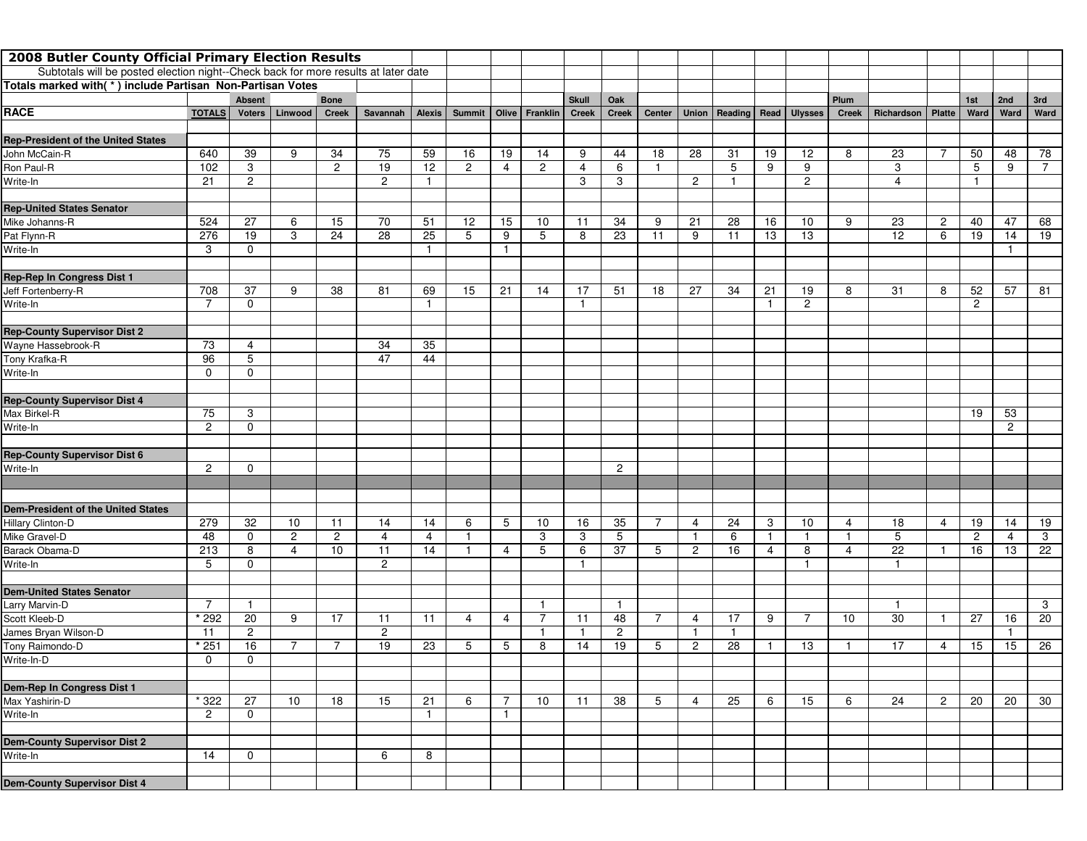| 2008 Butler County Official Primary Election Results                               |                |                |                |                |                |          |                |                |                |              |                |                |                         |                                  |              |                |       |                 |                |                |                |                |
|------------------------------------------------------------------------------------|----------------|----------------|----------------|----------------|----------------|----------|----------------|----------------|----------------|--------------|----------------|----------------|-------------------------|----------------------------------|--------------|----------------|-------|-----------------|----------------|----------------|----------------|----------------|
| Subtotals will be posted election night--Check back for more results at later date |                |                |                |                |                |          |                |                |                |              |                |                |                         |                                  |              |                |       |                 |                |                |                |                |
| Totals marked with(*) include Partisan Non-Partisan Votes                          |                |                |                |                |                |          |                |                |                |              |                |                |                         |                                  |              |                |       |                 |                |                |                |                |
|                                                                                    |                | <b>Absent</b>  |                | <b>Bone</b>    |                |          |                |                |                | <b>Skull</b> | Oak            |                |                         |                                  |              |                | Plum  |                 |                | 1st            | 2nd            | 3rd            |
| <b>RACE</b>                                                                        | <b>TOTALS</b>  | <b>Voters</b>  | Linwood        | <b>Creek</b>   | Savannah       | Alexis   | <b>Summit</b>  |                | Olive Franklin | <b>Creek</b> | <b>Creek</b>   | Center         |                         | Union   Reading   Read   Ulysses |              |                | Creek | Richardson      | <b>Platte</b>  | Ward           | Ward           | Ward           |
|                                                                                    |                |                |                |                |                |          |                |                |                |              |                |                |                         |                                  |              |                |       |                 |                |                |                |                |
| <b>Rep-President of the United States</b>                                          |                |                |                |                |                |          |                |                |                |              |                |                |                         |                                  |              |                |       |                 |                |                |                |                |
| John McCain-R                                                                      | 640            | 39             | 9              | 34             | 75             | 59       | 16             | 19             | 14             | 9            | 44             | 18             | 28                      | 31                               | 19           | 12             | 8     | 23              | 7              | 50             | 48             | 78             |
| Ron Paul-R                                                                         | 102            | 3              |                | $\overline{c}$ | 19             | 12       | $\overline{c}$ | 4              | $\overline{c}$ | 4            | 6              | $\mathbf{1}$   |                         | 5                                | 9            | 9              |       | 3               |                | 5              | 9              | $\overline{7}$ |
| Write-In                                                                           | 21             | $\overline{2}$ |                |                | $\overline{2}$ | -1       |                |                |                | 3            | 3              |                | $\overline{2}$          |                                  |              | $\overline{c}$ |       | 4               |                | -1             |                |                |
|                                                                                    |                |                |                |                |                |          |                |                |                |              |                |                |                         |                                  |              |                |       |                 |                |                |                |                |
| <b>Rep-United States Senator</b>                                                   |                |                |                |                |                |          |                |                |                |              |                |                |                         |                                  |              |                |       |                 |                |                |                |                |
| Mike Johanns-R                                                                     | 524            | 27             | 6              | 15             | 70             | 51       | 12             | 15             | 10             | 11           | 34             | 9              | 21                      | 28                               | 16           | 10             | 9     | 23<br>12        | $\overline{2}$ | 40             | 47             | 68             |
| Pat Flynn-R                                                                        | 276            | 19             | 3              | 24             | 28             | 25<br>-1 | 5              | 9              | 5              | 8            | 23             | 11             | 9                       | 11                               | 13           | 13             |       |                 | 6              | 19             | 14             | 19             |
| Write-In                                                                           | 3              | $\mathbf 0$    |                |                |                |          |                | $\mathbf{1}$   |                |              |                |                |                         |                                  |              |                |       |                 |                |                | $\mathbf{1}$   |                |
| Rep-Rep In Congress Dist 1                                                         |                |                |                |                |                |          |                |                |                |              |                |                |                         |                                  |              |                |       |                 |                |                |                |                |
| Jeff Fortenberry-R                                                                 | 708            | 37             | 9              | 38             | 81             | 69       | 15             | 21             | 14             | 17           | 51             | 18             | 27                      | 34                               | 21           | 19             | 8     | 31              | 8              | 52             | 57             | 81             |
| Write-In                                                                           | 7              | $\mathbf 0$    |                |                |                |          |                |                |                | $\mathbf{1}$ |                |                |                         |                                  | $\mathbf{1}$ | $\overline{c}$ |       |                 |                | $\overline{2}$ |                |                |
|                                                                                    |                |                |                |                |                |          |                |                |                |              |                |                |                         |                                  |              |                |       |                 |                |                |                |                |
| <b>Rep-County Supervisor Dist 2</b>                                                |                |                |                |                |                |          |                |                |                |              |                |                |                         |                                  |              |                |       |                 |                |                |                |                |
| Wayne Hassebrook-R                                                                 | 73             | 4              |                |                | 34             | 35       |                |                |                |              |                |                |                         |                                  |              |                |       |                 |                |                |                |                |
| Tony Krafka-R                                                                      | 96             | 5              |                |                | 47             | 44       |                |                |                |              |                |                |                         |                                  |              |                |       |                 |                |                |                |                |
| Write-In                                                                           | $\mathbf 0$    | $\mathbf 0$    |                |                |                |          |                |                |                |              |                |                |                         |                                  |              |                |       |                 |                |                |                |                |
|                                                                                    |                |                |                |                |                |          |                |                |                |              |                |                |                         |                                  |              |                |       |                 |                |                |                |                |
| <b>Rep-County Supervisor Dist 4</b>                                                |                |                |                |                |                |          |                |                |                |              |                |                |                         |                                  |              |                |       |                 |                |                |                |                |
| Max Birkel-R                                                                       | 75             | 3              |                |                |                |          |                |                |                |              |                |                |                         |                                  |              |                |       |                 |                | 19             | 53             |                |
| Write-In                                                                           | $\overline{c}$ | $\mathbf 0$    |                |                |                |          |                |                |                |              |                |                |                         |                                  |              |                |       |                 |                |                | $\overline{2}$ |                |
|                                                                                    |                |                |                |                |                |          |                |                |                |              |                |                |                         |                                  |              |                |       |                 |                |                |                |                |
| <b>Rep-County Supervisor Dist 6</b>                                                |                |                |                |                |                |          |                |                |                |              |                |                |                         |                                  |              |                |       |                 |                |                |                |                |
| Write-In                                                                           | $\overline{2}$ | $\Omega$       |                |                |                |          |                |                |                |              | $\overline{2}$ |                |                         |                                  |              |                |       |                 |                |                |                |                |
|                                                                                    |                |                |                |                |                |          |                |                |                |              |                |                |                         |                                  |              |                |       |                 |                |                |                |                |
| <b>Dem-President of the United States</b>                                          |                |                |                |                |                |          |                |                |                |              |                |                |                         |                                  |              |                |       |                 |                |                |                |                |
| Hillary Clinton-D                                                                  | 279            | 32             | 10             | 11             | 14             | 14       | 6              | 5              | 10             | 16           | 35             | 7              | 4                       | 24                               | 3            | 10             | 4     | 18              | 4              | 19             | 14             | 19             |
| Mike Gravel-D                                                                      | 48             | $\mathbf 0$    | $\overline{c}$ | $\overline{c}$ | 4              | 4        | $\mathbf{1}$   |                | 3              | 3            | 5              |                | -1                      | 6                                | $\mathbf{1}$ | $\mathbf{1}$   | -1    | 5               |                | $\overline{2}$ | 4              | 3              |
| Barack Obama-D                                                                     | 213            | 8              | 4              | 10             | 11             | 14       |                | 4              | 5              | 6            | 37             | 5              | $\overline{c}$          | 16                               | 4            | 8              | 4     | $\overline{22}$ |                | 16             | 13             | 22             |
| Write-In                                                                           | 5              | $\mathbf 0$    |                |                | $\overline{2}$ |          |                |                |                | -1           |                |                |                         |                                  |              | $\mathbf 1$    |       | $\mathbf{1}$    |                |                |                |                |
|                                                                                    |                |                |                |                |                |          |                |                |                |              |                |                |                         |                                  |              |                |       |                 |                |                |                |                |
| <b>Dem-United States Senator</b>                                                   |                |                |                |                |                |          |                |                |                |              |                |                |                         |                                  |              |                |       |                 |                |                |                |                |
| Larry Marvin-D                                                                     | $\overline{7}$ | -1             |                |                |                |          |                |                |                |              | $\mathbf{1}$   |                |                         |                                  |              |                |       | $\mathbf{1}$    |                |                |                | 3              |
| Scott Kleeb-D                                                                      | * 292          | 20             | 9              | 17             | 11             | 11       | 4              | 4              | 7              | 11           | 48             | $\overline{7}$ | $\overline{4}$          | 17                               | 9            | 7              | 10    | 30              | -1             | 27             | 16             | 20             |
| James Bryan Wilson-D                                                               | 11             | $\overline{2}$ |                |                | $\overline{2}$ |          |                |                |                | -1           | $\overline{2}$ |                | $\overline{\mathbf{1}}$ | $\mathbf{1}$                     |              |                |       |                 |                |                | $\mathbf{1}$   |                |
| Tony Raimondo-D                                                                    | $*251$         | 16             | 7              | 7              | 19             | 23       | 5              | 5              | 8              | 14           | 19             | 5              | $\overline{2}$          | 28                               | $\mathbf{1}$ | 13             | -1    | 17              | 4              | 15             | 15             | 26             |
| Write-In-D                                                                         | $\mathbf 0$    | $\mathbf 0$    |                |                |                |          |                |                |                |              |                |                |                         |                                  |              |                |       |                 |                |                |                |                |
|                                                                                    |                |                |                |                |                |          |                |                |                |              |                |                |                         |                                  |              |                |       |                 |                |                |                |                |
| Dem-Rep In Congress Dist 1                                                         |                |                |                |                |                |          |                |                |                |              |                |                |                         |                                  |              |                |       |                 |                |                |                |                |
| Max Yashirin-D                                                                     | * 322          | 27             | 10             | 18             | 15             | 21       | 6              | 7              | 10             | 11           | 38             | 5              | 4                       | 25                               | 6            | 15             | 6     | 24              | $\overline{2}$ | 20             | 20             | 30             |
| Write-In                                                                           | $\overline{2}$ | $\mathbf 0$    |                |                |                | 1        |                | $\overline{1}$ |                |              |                |                |                         |                                  |              |                |       |                 |                |                |                |                |
|                                                                                    |                |                |                |                |                |          |                |                |                |              |                |                |                         |                                  |              |                |       |                 |                |                |                |                |
| <b>Dem-County Supervisor Dist 2</b>                                                |                |                |                |                |                |          |                |                |                |              |                |                |                         |                                  |              |                |       |                 |                |                |                |                |
| Write-In                                                                           | 14             | 0              |                |                | 6              | 8        |                |                |                |              |                |                |                         |                                  |              |                |       |                 |                |                |                |                |
| <b>Dem-County Supervisor Dist 4</b>                                                |                |                |                |                |                |          |                |                |                |              |                |                |                         |                                  |              |                |       |                 |                |                |                |                |
|                                                                                    |                |                |                |                |                |          |                |                |                |              |                |                |                         |                                  |              |                |       |                 |                |                |                |                |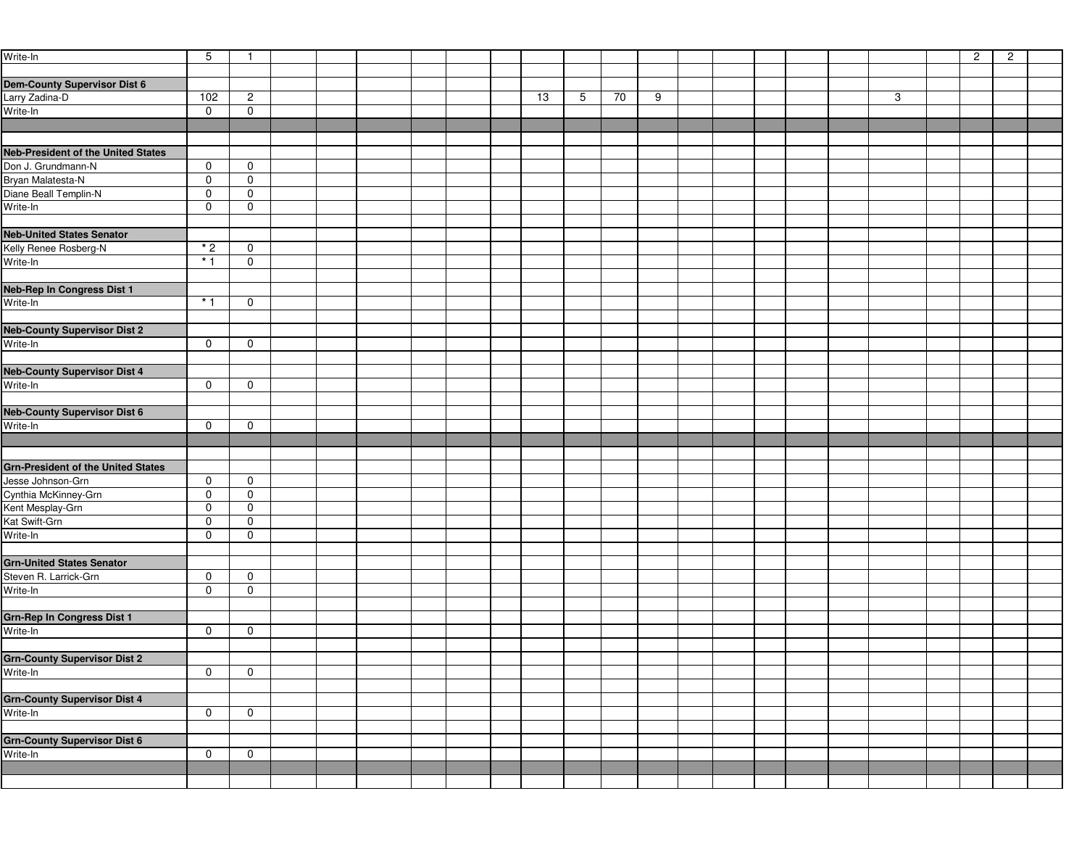| Write-In                                  | 5            | $\mathbf{1}$               |  |  |  |    |   |    |   |  |  |   | $\overline{c}$ | $\overline{2}$ |  |
|-------------------------------------------|--------------|----------------------------|--|--|--|----|---|----|---|--|--|---|----------------|----------------|--|
|                                           |              |                            |  |  |  |    |   |    |   |  |  |   |                |                |  |
| <b>Dem-County Supervisor Dist 6</b>       |              |                            |  |  |  |    |   |    |   |  |  |   |                |                |  |
| Larry Zadina-D                            | 102          | $\overline{c}$             |  |  |  | 13 | 5 | 70 | 9 |  |  | 3 |                |                |  |
| Write-In                                  | $\mathbf 0$  | $\mathbf 0$                |  |  |  |    |   |    |   |  |  |   |                |                |  |
|                                           |              |                            |  |  |  |    |   |    |   |  |  |   |                |                |  |
|                                           |              |                            |  |  |  |    |   |    |   |  |  |   |                |                |  |
| <b>Neb-President of the United States</b> |              |                            |  |  |  |    |   |    |   |  |  |   |                |                |  |
| Don J. Grundmann-N                        | $\mathbf 0$  | $\mathbf 0$                |  |  |  |    |   |    |   |  |  |   |                |                |  |
| Bryan Malatesta-N                         | $\mathbf 0$  | $\mathbf 0$                |  |  |  |    |   |    |   |  |  |   |                |                |  |
| Diane Beall Templin-N                     | $\mathbf 0$  | $\mathbf 0$                |  |  |  |    |   |    |   |  |  |   |                |                |  |
| Write-In                                  | $\mathbf 0$  | $\mathbf 0$                |  |  |  |    |   |    |   |  |  |   |                |                |  |
|                                           |              |                            |  |  |  |    |   |    |   |  |  |   |                |                |  |
| <b>Neb-United States Senator</b>          |              |                            |  |  |  |    |   |    |   |  |  |   |                |                |  |
| Kelly Renee Rosberg-N<br>Write-In         | $*2$<br>$*1$ | $\mathbf 0$<br>$\mathbf 0$ |  |  |  |    |   |    |   |  |  |   |                |                |  |
|                                           |              |                            |  |  |  |    |   |    |   |  |  |   |                |                |  |
| <b>Neb-Rep In Congress Dist 1</b>         |              |                            |  |  |  |    |   |    |   |  |  |   |                |                |  |
| Write-In                                  | $*1$         | $\mathbf 0$                |  |  |  |    |   |    |   |  |  |   |                |                |  |
|                                           |              |                            |  |  |  |    |   |    |   |  |  |   |                |                |  |
| <b>Neb-County Supervisor Dist 2</b>       |              |                            |  |  |  |    |   |    |   |  |  |   |                |                |  |
| Write-In                                  | $\mathbf 0$  | 0                          |  |  |  |    |   |    |   |  |  |   |                |                |  |
|                                           |              |                            |  |  |  |    |   |    |   |  |  |   |                |                |  |
| <b>Neb-County Supervisor Dist 4</b>       |              |                            |  |  |  |    |   |    |   |  |  |   |                |                |  |
| Write-In                                  | $\mathbf 0$  | $\mathbf 0$                |  |  |  |    |   |    |   |  |  |   |                |                |  |
|                                           |              |                            |  |  |  |    |   |    |   |  |  |   |                |                |  |
| <b>Neb-County Supervisor Dist 6</b>       |              |                            |  |  |  |    |   |    |   |  |  |   |                |                |  |
| Write-In                                  | $\mathbf 0$  | 0                          |  |  |  |    |   |    |   |  |  |   |                |                |  |
|                                           |              |                            |  |  |  |    |   |    |   |  |  |   |                |                |  |
|                                           |              |                            |  |  |  |    |   |    |   |  |  |   |                |                |  |
| <b>Grn-President of the United States</b> |              |                            |  |  |  |    |   |    |   |  |  |   |                |                |  |
| Jesse Johnson-Grn                         | $\mathbf 0$  | $\mathbf 0$                |  |  |  |    |   |    |   |  |  |   |                |                |  |
| Cynthia McKinney-Grn                      | $\mathsf{O}$ | 0                          |  |  |  |    |   |    |   |  |  |   |                |                |  |
| Kent Mesplay-Grn                          | $\mathbf 0$  | $\mathbf 0$                |  |  |  |    |   |    |   |  |  |   |                |                |  |
| Kat Swift-Grn                             | $\mathbf 0$  | $\mathbf 0$                |  |  |  |    |   |    |   |  |  |   |                |                |  |
| Write-In                                  | $\mathbf 0$  | $\mathbf 0$                |  |  |  |    |   |    |   |  |  |   |                |                |  |
|                                           |              |                            |  |  |  |    |   |    |   |  |  |   |                |                |  |
| <b>Grn-United States Senator</b>          |              |                            |  |  |  |    |   |    |   |  |  |   |                |                |  |
| Steven R. Larrick-Grn                     | $\mathsf{O}$ | $\mathbf 0$                |  |  |  |    |   |    |   |  |  |   |                |                |  |
| Write-In                                  | $\mathbf 0$  | $\mathbf 0$                |  |  |  |    |   |    |   |  |  |   |                |                |  |
|                                           |              |                            |  |  |  |    |   |    |   |  |  |   |                |                |  |
| <b>Grn-Rep In Congress Dist 1</b>         |              |                            |  |  |  |    |   |    |   |  |  |   |                |                |  |
| Write-In                                  | $\mathbf 0$  | 0                          |  |  |  |    |   |    |   |  |  |   |                |                |  |
|                                           |              |                            |  |  |  |    |   |    |   |  |  |   |                |                |  |
| <b>Grn-County Supervisor Dist 2</b>       |              | $\mathbf 0$                |  |  |  |    |   |    |   |  |  |   |                |                |  |
| Write-In                                  | $\mathsf{O}$ |                            |  |  |  |    |   |    |   |  |  |   |                |                |  |
| <b>Grn-County Supervisor Dist 4</b>       |              |                            |  |  |  |    |   |    |   |  |  |   |                |                |  |
| Write-In                                  | $\mathbf 0$  | $\mathbf 0$                |  |  |  |    |   |    |   |  |  |   |                |                |  |
|                                           |              |                            |  |  |  |    |   |    |   |  |  |   |                |                |  |
| <b>Grn-County Supervisor Dist 6</b>       |              |                            |  |  |  |    |   |    |   |  |  |   |                |                |  |
| Write-In                                  | $\mathbf 0$  | $\mathbf 0$                |  |  |  |    |   |    |   |  |  |   |                |                |  |
|                                           |              |                            |  |  |  |    |   |    |   |  |  |   |                |                |  |
|                                           |              |                            |  |  |  |    |   |    |   |  |  |   |                |                |  |
|                                           |              |                            |  |  |  |    |   |    |   |  |  |   |                |                |  |